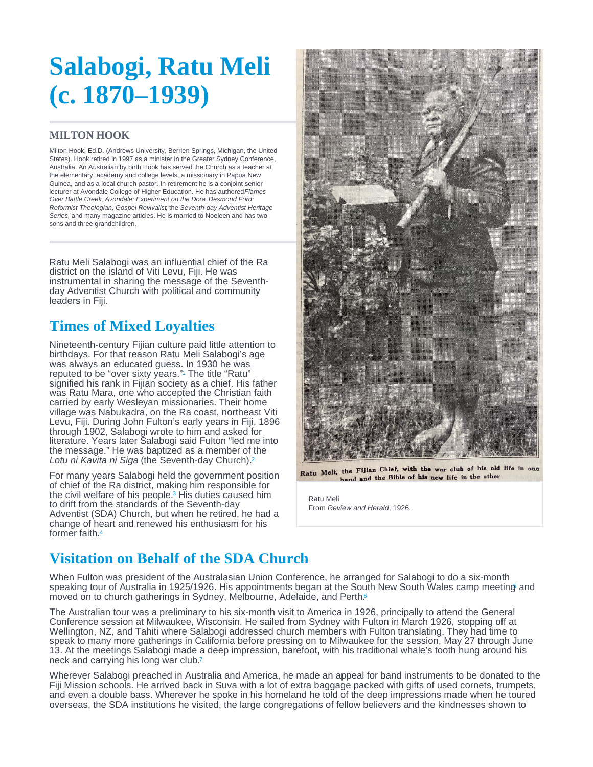# <span id="page-0-0"></span>Salabogi, Ratu Meli (c. 1870–1939)

### MILTON HOOK

Milton Hook, Ed.D. (Andrews University, Berrien Springs, Michigan, the United States). Hook retired in 1997 as a minister in the Greater Sydney Conference, Australia. An Australian by birth Hook has served the Church as a teacher at the elementary, academy and college levels, a missionary in Papua New Guinea, and as a local church pastor. In retirement he is a conjoint senior lecturer at Avondale College of Higher Education. He has authored Flames Over Battle Creek, Avondale: Experiment on the Dora, Desmond Ford: Reformist Theologian, Gospel Revivalist, the Seventh-day Adventist Heritage Series, and many magazine articles. He is married to Noeleen and has two sons and three grandchildren.

Ratu Meli Salabogi was an influential chief of the Ra district on the island of Viti Levu, Fiji. He was instrumental in sharing the message of the Seventhday Adventist Church with political and community leaders in Fiji.

### Times of Mixed Loyalties

Nineteenth-century Fijian culture paid little attention to birthdays. For that reason Ratu Meli Salabogi's age was always an educated guess. In 1930 he was reputed to be ["](#page-1-0)over sixty years."<sup>1</sup> The title "Ratu" signified his rank in Fijian society as a chief. His father was Ratu Mara, one who accepted the Christian faith carried by early Wesleyan missionaries. Their home village was Nabukadra, on the Ra coast, northeast Viti Levu, Fiji. During John Fulton's early years in Fiji, 1896 through 1902, Salabogi wrote to him and asked for literature. Years later Salabogi said Fulton "led me into the message." He was baptized as a member of the Lotu ni Kavita ni Siga (the Seventh-day Church). [2](#page-1-0)

For many years Salabogi held the government position of chief of the Ra district, making him responsible for the civil welfare of his people.<sup>3</sup> His duties caused him to drift from the standards of the Seventh-day Adventist (SDA) Church, but when he retired, he had a change of heart and renewed his enthusiasm for his former faith. [4](#page-1-0)

Ratu Meli From Review and Herald, 1926.

## Visitation on Behalf of the SDA Church

When Fulton was president of the Australasian Union Conference, he arranged for Salabogi to do a six-month speaking tour of Australia in 1925/1926. His appointments began at the South New South Wales camp meetin[g](#page-1-0) and 5 moved on to church gatherings in Sydney, Melbourne, Adelaide, and Perth.<sup>[6](#page-1-0)</sup>

The Australian tour was a preliminary to his six-month visit to America in 1926, principally to attend the General Conference session at Milwaukee, Wisconsin. He sailed from Sydney with Fulton in March 1926, stopping off at Wellington, NZ, and Tahiti where Salabogi addressed church members with Fulton translating. They had time to speak to many more gatherings in California before pressing on to Milwaukee for the session, May 27 through June 13. At the meetings Salabogi made a deep impression, barefoot, with his traditional whale's tooth hung around his neck and carrying his long war club.<sup>[7](#page-1-0)</sup>

Wherever Salabogi preached in Australia and America, he made an appeal for band instruments to be donated to the Fiji Mission schools. He arrived back in Suva with a lot of extra baggage packed with gifts of used cornets, trumpets, and even a double bass. Wherever he spoke in his homeland he told of the deep impressions made when he toured overseas, the SDA institutions he visited, the large congregations of fellow believers and the kindnesses shown to